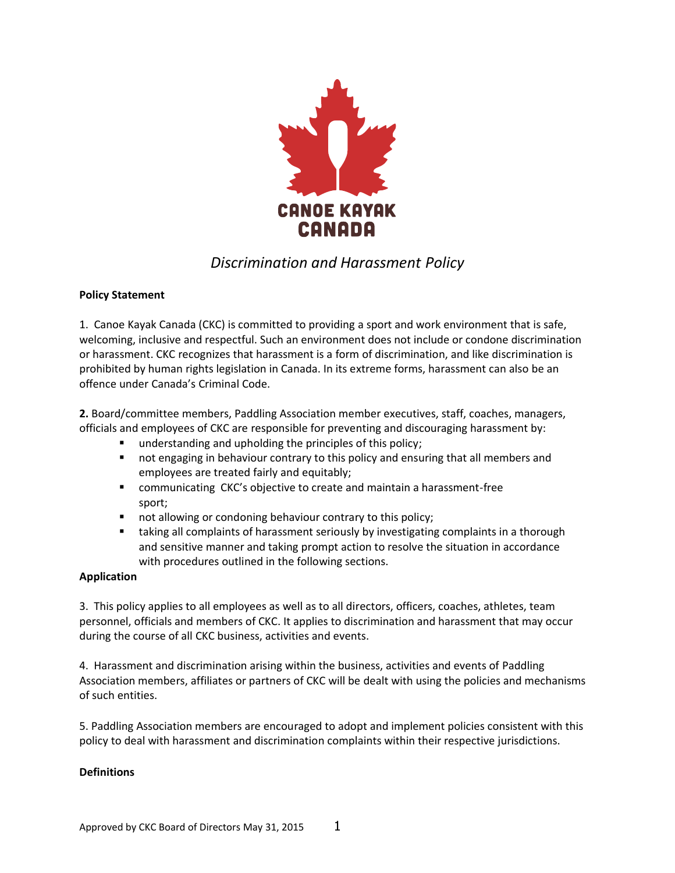

# *Discrimination and Harassment Policy*

## **Policy Statement**

1. Canoe Kayak Canada (CKC) is committed to providing a sport and work environment that is safe, welcoming, inclusive and respectful. Such an environment does not include or condone discrimination or harassment. CKC recognizes that harassment is a form of discrimination, and like discrimination is prohibited by human rights legislation in Canada. In its extreme forms, harassment can also be an offence under Canada's Criminal Code.

**2.** Board/committee members, Paddling Association member executives, staff, coaches, managers, officials and employees of CKC are responsible for preventing and discouraging harassment by:

- understanding and upholding the principles of this policy;
- not engaging in behaviour contrary to this policy and ensuring that all members and employees are treated fairly and equitably;
- communicating CKC's objective to create and maintain a harassment-free sport;
- not allowing or condoning behaviour contrary to this policy;
- taking all complaints of harassment seriously by investigating complaints in a thorough and sensitive manner and taking prompt action to resolve the situation in accordance with procedures outlined in the following sections.

### **Application**

3. This policy applies to all employees as well as to all directors, officers, coaches, athletes, team personnel, officials and members of CKC. It applies to discrimination and harassment that may occur during the course of all CKC business, activities and events.

4. Harassment and discrimination arising within the business, activities and events of Paddling Association members, affiliates or partners of CKC will be dealt with using the policies and mechanisms of such entities.

5. Paddling Association members are encouraged to adopt and implement policies consistent with this policy to deal with harassment and discrimination complaints within their respective jurisdictions.

### **Definitions**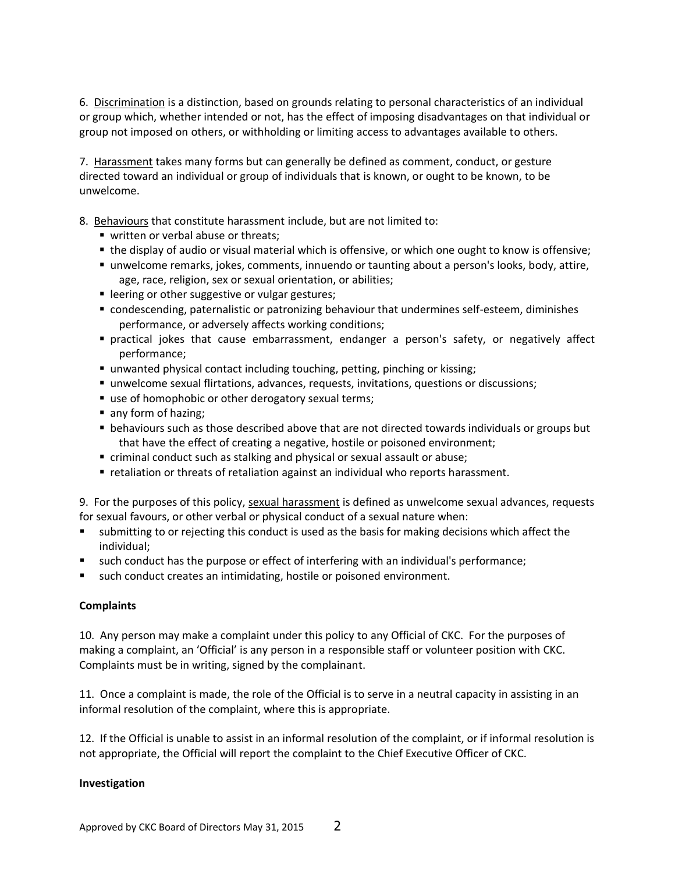6. Discrimination is a distinction, based on grounds relating to personal characteristics of an individual or group which, whether intended or not, has the effect of imposing disadvantages on that individual or group not imposed on others, or withholding or limiting access to advantages available to others.

7. Harassment takes many forms but can generally be defined as comment, conduct, or gesture directed toward an individual or group of individuals that is known, or ought to be known, to be unwelcome.

- 8. Behaviours that constitute harassment include, but are not limited to:
	- written or verbal abuse or threats;
	- the display of audio or visual material which is offensive, or which one ought to know is offensive;
	- unwelcome remarks, jokes, comments, innuendo or taunting about a person's looks, body, attire, age, race, religion, sex or sexual orientation, or abilities;
	- leering or other suggestive or vulgar gestures;
	- condescending, paternalistic or patronizing behaviour that undermines self-esteem, diminishes performance, or adversely affects working conditions;
	- practical jokes that cause embarrassment, endanger a person's safety, or negatively affect performance;
	- unwanted physical contact including touching, petting, pinching or kissing;
	- unwelcome sexual flirtations, advances, requests, invitations, questions or discussions;
	- use of homophobic or other derogatory sexual terms;
	- any form of hazing;
	- **Example 1** behaviours such as those described above that are not directed towards individuals or groups but that have the effect of creating a negative, hostile or poisoned environment;
	- criminal conduct such as stalking and physical or sexual assault or abuse;
	- retaliation or threats of retaliation against an individual who reports harassment.

9. For the purposes of this policy, sexual harassment is defined as unwelcome sexual advances, requests for sexual favours, or other verbal or physical conduct of a sexual nature when:

- submitting to or rejecting this conduct is used as the basis for making decisions which affect the individual;
- such conduct has the purpose or effect of interfering with an individual's performance;
- such conduct creates an intimidating, hostile or poisoned environment.

### **Complaints**

10. Any person may make a complaint under this policy to any Official of CKC. For the purposes of making a complaint, an 'Official' is any person in a responsible staff or volunteer position with CKC. Complaints must be in writing, signed by the complainant.

11. Once a complaint is made, the role of the Official is to serve in a neutral capacity in assisting in an informal resolution of the complaint, where this is appropriate.

12. If the Official is unable to assist in an informal resolution of the complaint, or if informal resolution is not appropriate, the Official will report the complaint to the Chief Executive Officer of CKC.

### **Investigation**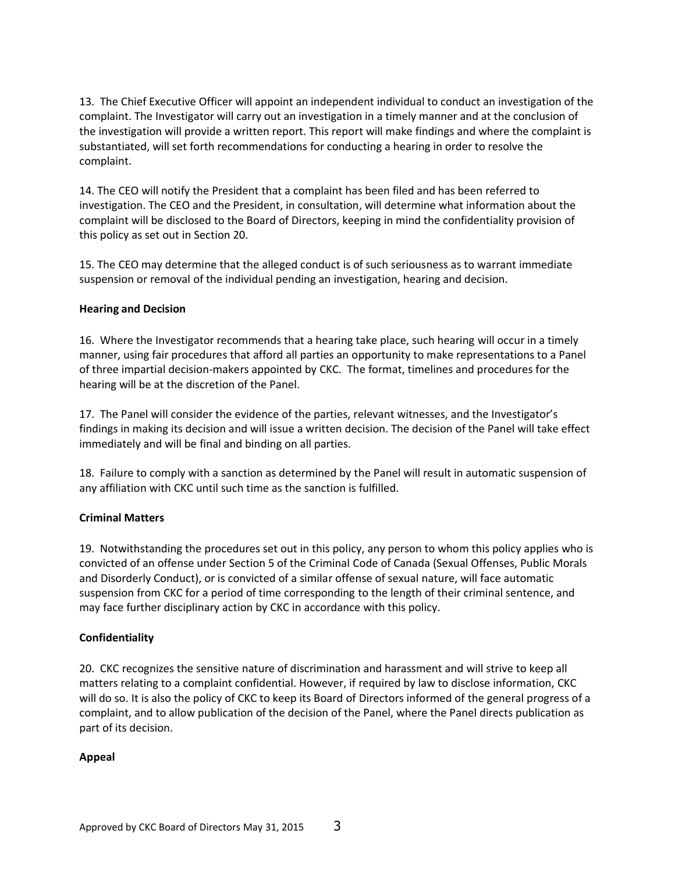13. The Chief Executive Officer will appoint an independent individual to conduct an investigation of the complaint. The Investigator will carry out an investigation in a timely manner and at the conclusion of the investigation will provide a written report. This report will make findings and where the complaint is substantiated, will set forth recommendations for conducting a hearing in order to resolve the complaint.

14. The CEO will notify the President that a complaint has been filed and has been referred to investigation. The CEO and the President, in consultation, will determine what information about the complaint will be disclosed to the Board of Directors, keeping in mind the confidentiality provision of this policy as set out in Section 20.

15. The CEO may determine that the alleged conduct is of such seriousness as to warrant immediate suspension or removal of the individual pending an investigation, hearing and decision.

### **Hearing and Decision**

16. Where the Investigator recommends that a hearing take place, such hearing will occur in a timely manner, using fair procedures that afford all parties an opportunity to make representations to a Panel of three impartial decision-makers appointed by CKC. The format, timelines and procedures for the hearing will be at the discretion of the Panel.

17. The Panel will consider the evidence of the parties, relevant witnesses, and the Investigator's findings in making its decision and will issue a written decision. The decision of the Panel will take effect immediately and will be final and binding on all parties.

18. Failure to comply with a sanction as determined by the Panel will result in automatic suspension of any affiliation with CKC until such time as the sanction is fulfilled.

### **Criminal Matters**

19. Notwithstanding the procedures set out in this policy, any person to whom this policy applies who is convicted of an offense under Section 5 of the Criminal Code of Canada (Sexual Offenses, Public Morals and Disorderly Conduct), or is convicted of a similar offense of sexual nature, will face automatic suspension from CKC for a period of time corresponding to the length of their criminal sentence, and may face further disciplinary action by CKC in accordance with this policy.

### **Confidentiality**

20. CKC recognizes the sensitive nature of discrimination and harassment and will strive to keep all matters relating to a complaint confidential. However, if required by law to disclose information, CKC will do so. It is also the policy of CKC to keep its Board of Directors informed of the general progress of a complaint, and to allow publication of the decision of the Panel, where the Panel directs publication as part of its decision.

### **Appeal**